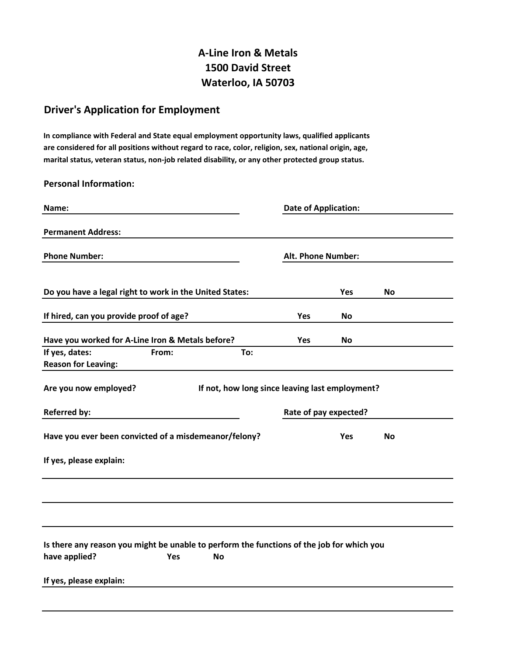# **A-Line Iron & Metals 1500 David Street Waterloo, IA 50703**

## **Driver's Application for Employment**

**In compliance with Federal and State equal employment opportunity laws, qualified applicants are considered for all positions without regard to race, color, religion, sex, national origin, age, marital status, veteran status, non-job related disability, or any other protected group status.**

#### **Personal Information:**

| Name:                                                                                     |       |                                                 | <b>Date of Application:</b> |            |           |  |
|-------------------------------------------------------------------------------------------|-------|-------------------------------------------------|-----------------------------|------------|-----------|--|
| <b>Permanent Address:</b>                                                                 |       |                                                 |                             |            |           |  |
| <b>Phone Number:</b>                                                                      |       |                                                 | Alt. Phone Number:          |            |           |  |
|                                                                                           |       |                                                 |                             |            |           |  |
| Do you have a legal right to work in the United States:                                   |       |                                                 |                             | Yes        | No        |  |
| If hired, can you provide proof of age?                                                   |       |                                                 | <b>Yes</b>                  | No         |           |  |
| Have you worked for A-Line Iron & Metals before?                                          |       |                                                 | Yes                         | <b>No</b>  |           |  |
| If yes, dates:<br><b>Reason for Leaving:</b>                                              | From: | To:                                             |                             |            |           |  |
| Are you now employed?                                                                     |       | If not, how long since leaving last employment? |                             |            |           |  |
| <b>Referred by:</b>                                                                       |       |                                                 | Rate of pay expected?       |            |           |  |
| Have you ever been convicted of a misdemeanor/felony?                                     |       |                                                 |                             | <b>Yes</b> | <b>No</b> |  |
| If yes, please explain:                                                                   |       |                                                 |                             |            |           |  |
|                                                                                           |       |                                                 |                             |            |           |  |
|                                                                                           |       |                                                 |                             |            |           |  |
| Is there any reason you might be unable to perform the functions of the job for which you |       |                                                 |                             |            |           |  |
| have applied?                                                                             | Yes   | No                                              |                             |            |           |  |
| If yes, please explain:                                                                   |       |                                                 |                             |            |           |  |
|                                                                                           |       |                                                 |                             |            |           |  |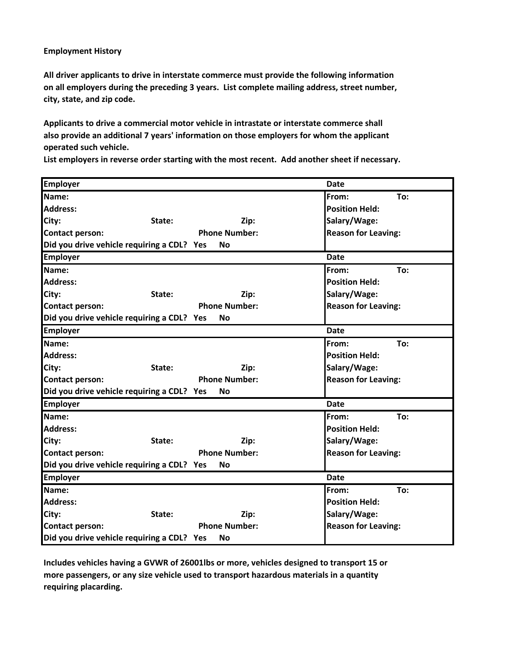#### **Employment History**

**All driver applicants to drive in interstate commerce must provide the following information on all employers during the preceding 3 years. List complete mailing address, street number, city, state, and zip code.**

**Applicants to drive a commercial motor vehicle in intrastate or interstate commerce shall also provide an additional 7 years' information on those employers for whom the applicant operated such vehicle.**

**List employers in reverse order starting with the most recent. Add another sheet if necessary.**

| <b>Employer</b>                            |        |                      | <b>Date</b>                |  |
|--------------------------------------------|--------|----------------------|----------------------------|--|
| Name:                                      |        |                      | From:<br>To:               |  |
| <b>Address:</b>                            |        |                      | <b>Position Held:</b>      |  |
| City:                                      | State: | Zip:                 | Salary/Wage:               |  |
| <b>Contact person:</b>                     |        | <b>Phone Number:</b> | <b>Reason for Leaving:</b> |  |
| Did you drive vehicle requiring a CDL? Yes |        | <b>No</b>            |                            |  |
| <b>Employer</b>                            |        |                      | <b>Date</b>                |  |
| Name:                                      |        |                      | From:<br>To:               |  |
| <b>Address:</b>                            |        |                      | <b>Position Held:</b>      |  |
| City:                                      | State: | Zip:                 | Salary/Wage:               |  |
| <b>Contact person:</b>                     |        | <b>Phone Number:</b> | <b>Reason for Leaving:</b> |  |
| Did you drive vehicle requiring a CDL? Yes |        | Νo                   |                            |  |
| <b>Employer</b>                            |        |                      | <b>Date</b>                |  |
| Name:                                      |        |                      | From:<br>To:               |  |
| <b>Address:</b>                            |        |                      | <b>Position Held:</b>      |  |
| City:                                      | State: | Zip:                 | Salary/Wage:               |  |
| <b>Contact person:</b>                     |        | <b>Phone Number:</b> | <b>Reason for Leaving:</b> |  |
| Did you drive vehicle requiring a CDL? Yes |        | <b>No</b>            |                            |  |
| <b>Employer</b>                            |        |                      | <b>Date</b>                |  |
| Name:                                      |        |                      | To:<br>From:               |  |
| <b>Address:</b>                            |        |                      | <b>Position Held:</b>      |  |
| City:                                      | State: | Zip:                 | Salary/Wage:               |  |
| Contact person:                            |        | <b>Phone Number:</b> | <b>Reason for Leaving:</b> |  |
| Did you drive vehicle requiring a CDL? Yes |        | No                   |                            |  |
| <b>Employer</b>                            |        |                      | <b>Date</b>                |  |
| Name:                                      |        |                      | From:<br>To:               |  |
| <b>Address:</b>                            |        |                      | <b>Position Held:</b>      |  |
| City:                                      | State: | Zip:                 | Salary/Wage:               |  |
| <b>Contact person:</b>                     |        | <b>Phone Number:</b> | <b>Reason for Leaving:</b> |  |
| Did you drive vehicle requiring a CDL? Yes |        | No                   |                            |  |

**Includes vehicles having a GVWR of 26001lbs or more, vehicles designed to transport 15 or more passengers, or any size vehicle used to transport hazardous materials in a quantity requiring placarding.**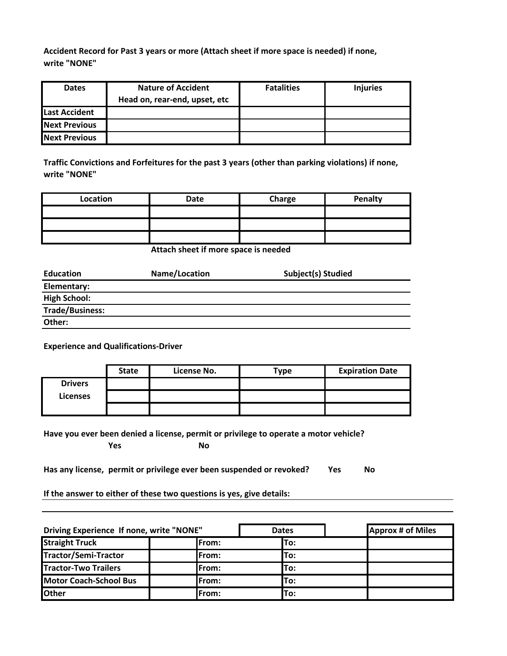**Accident Record for Past 3 years or more (Attach sheet if more space is needed) if none, write "NONE"**

| <b>Dates</b>         | <b>Nature of Accident</b>     | <b>Fatalities</b> | <b>Injuries</b> |
|----------------------|-------------------------------|-------------------|-----------------|
|                      | Head on, rear-end, upset, etc |                   |                 |
| <b>Last Accident</b> |                               |                   |                 |
| <b>Next Previous</b> |                               |                   |                 |
| <b>Next Previous</b> |                               |                   |                 |

**Traffic Convictions and Forfeitures for the past 3 years (other than parking violations) if none, write "NONE"**

| Location | Date | Charge | Penalty |
|----------|------|--------|---------|
|          |      |        |         |
|          |      |        |         |
|          |      |        |         |

**Attach sheet if more space is needed**

| <b>Education</b>       | Name/Location | Subject(s) Studied |
|------------------------|---------------|--------------------|
| Elementary:            |               |                    |
| <b>High School:</b>    |               |                    |
| <b>Trade/Business:</b> |               |                    |
| Other:                 |               |                    |

**Experience and Qualifications-Driver**

|                | <b>State</b> | License No. | Type | <b>Expiration Date</b> |
|----------------|--------------|-------------|------|------------------------|
| <b>Drivers</b> |              |             |      |                        |
| Licenses       |              |             |      |                        |
|                |              |             |      |                        |

**Have you ever been denied a license, permit or privilege to operate a motor vehicle?**

**Yes No**

Has any license, permit or privilege ever been suspended or revoked? Yes No

**If the answer to either of these two questions is yes, give details:**

| Driving Experience If none, write "NONE" |              | <b>Dates</b> | <b>Approx # of Miles</b> |
|------------------------------------------|--------------|--------------|--------------------------|
| <b>Straight Truck</b>                    | <b>From:</b> | lTo:         |                          |
| Tractor/Semi-Tractor                     | From:        | To:          |                          |
| <b>Tractor-Two Trailers</b>              | <b>From:</b> | lTo:         |                          |
| <b>Motor Coach-School Bus</b>            | From:        | lTo:         |                          |
| <b>lOther</b>                            | <b>From:</b> | To:          |                          |